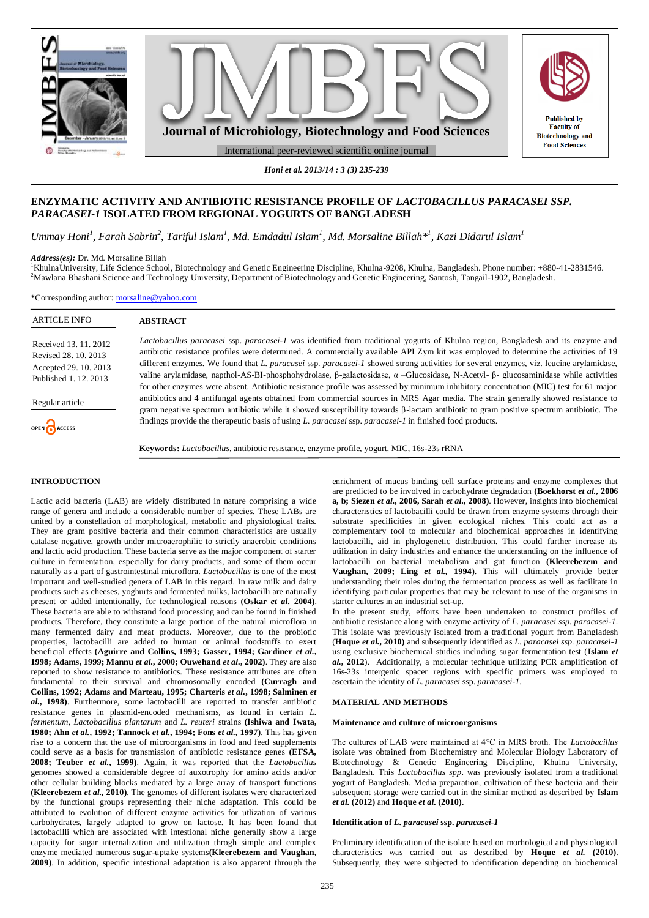

*Honi et al. 2013/14 : 3 (3) 235-239*

# **ENZYMATIC ACTIVITY AND ANTIBIOTIC RESISTANCE PROFILE OF** *LACTOBACILLUS PARACASEI SSP. PARACASEI-1* **ISOLATED FROM REGIONAL YOGURTS OF BANGLADESH**

Ummay Honi<sup>1</sup>, Farah Sabrin<sup>2</sup>, Tariful Islam<sup>1</sup>, Md. Emdadul Islam<sup>1</sup>, Md. Morsaline Billah\*<sup>1</sup>, Kazi Didarul Islam<sup>1</sup>

*Address(es):* Dr. Md. Morsaline Billah

<sup>1</sup>KhulnaUniversity, Life Science School, Biotechnology and Genetic Engineering Discipline, Khulna-9208, Khulna, Bangladesh. Phone number: +880-41-2831546. <sup>2</sup>Mawlana Bhashani Science and Technology University, Department of Biotechnology and Genetic Engineering, Santosh, Tangail-1902, Bangladesh.

\*Corresponding author: [morsaline@yahoo.com](mailto:morsaline@yahoo.com)

| <b>ARTICLE INFO</b>                                                                           | <b>ABSTRACT</b>                                                                                                                                                                                                                                                                                                                                                                                                                                                                                                                                                                                                                                                                                                      |  |  |  |  |
|-----------------------------------------------------------------------------------------------|----------------------------------------------------------------------------------------------------------------------------------------------------------------------------------------------------------------------------------------------------------------------------------------------------------------------------------------------------------------------------------------------------------------------------------------------------------------------------------------------------------------------------------------------------------------------------------------------------------------------------------------------------------------------------------------------------------------------|--|--|--|--|
| Received 13, 11, 2012<br>Revised 28, 10, 2013<br>Accepted 29. 10. 2013<br>Published 1.12.2013 | Lactobacillus paracasei ssp. paracasei-1 was identified from traditional yogurts of Khulna region, Bangladesh and its enzyme and<br>antibiotic resistance profiles were determined. A commercially available API Zym kit was employed to determine the activities of 19<br>different enzymes. We found that L. paracasei ssp. paracasei-1 showed strong activities for several enzymes, viz. leucine arylamidase,<br>valine arylamidase, napthol-AS-BI-phosphohydrolase, $\beta$ -galactosidase, $\alpha$ -Glucosidase, N-Acetyl- $\beta$ -glucosaminidase while activities<br>for other enzymes were absent. Antibiotic resistance profile was assessed by minimum inhibitory concentration (MIC) test for 61 major |  |  |  |  |
| Regular article                                                                               | antibiotics and 4 antifungal agents obtained from commercial sources in MRS Agar media. The strain generally showed resistance to<br>gram negative spectrum antibiotic while it showed susceptibility towards $\beta$ -lactam antibiotic to gram positive spectrum antibiotic. The                                                                                                                                                                                                                                                                                                                                                                                                                                   |  |  |  |  |
| OPEN CACCESS                                                                                  | findings provide the therapeutic basis of using L. paracasei ssp. paracasei-1 in finished food products.                                                                                                                                                                                                                                                                                                                                                                                                                                                                                                                                                                                                             |  |  |  |  |
|                                                                                               | <b>Keywords:</b> <i>Lactobacillus</i> , antibiotic resistance, enzyme profile, yogurt, MIC, 16s-23s rRNA                                                                                                                                                                                                                                                                                                                                                                                                                                                                                                                                                                                                             |  |  |  |  |

# **INTRODUCTION**

Lactic acid bacteria (LAB) are widely distributed in nature comprising a wide range of genera and include a considerable number of species. These LABs are united by a constellation of morphological, metabolic and physiological traits. They are gram positive bacteria and their common characteristics are usually catalase negative, growth under microaerophilic to strictly anaerobic conditions and lactic acid production. These bacteria serve as the major component of starter culture in fermentation, especially for dairy products, and some of them occur naturally as a part of gastrointestinal microflora. *Lactobacillus* is one of the most important and well-studied genera of LAB in this regard. In raw milk and dairy products such as cheeses, yoghurts and fermented milks, lactobacilli are naturally present or added intentionally, for technological reasons **(Oskar** *et al.* **2004)**. These bacteria are able to withstand food processing and can be found in finished products. Therefore, they constitute a large portion of the natural microflora in many fermented dairy and meat products. Moreover, due to the probiotic properties, lactobacilli are added to human or animal foodstuffs to exert beneficial effects **(Aguirre and Collins, 1993; Gasser, 1994; Gardiner** *et al.***, 1998; Adams, 1999; Mannu** *et al.***, 2000; Ouwehand** *et al.***, 2002)**. They are also reported to show resistance to antibiotics. These resistance attributes are often fundamental to their survival and chromosomally encoded **(Curragh and Collins, 1992; Adams and Marteau, 1995; Charteris** *et al.***, 1998; Salminen** *et al.***, 1998)**. Furthermore, some lactobacilli are reported to transfer antibiotic resistance genes in plasmid-encoded mechanisms, as found in certain *L. fermentum*, *Lactobacillus plantarum* and *L. reuteri* strains **(Ishiwa and Iwata, 1980; Ahn** *et al.***, 1992; Tannock** *et al.***, 1994; Fons** *et al.***, 1997)**. This has given rise to a concern that the use of microorganisms in food and feed supplements could serve as a basis for transmission of antibiotic resistance genes **(EFSA, 2008; Teuber** *et al.***, 1999)**. Again, it was reported that the *Lactobacillus* genomes showed a considerable degree of auxotrophy for amino acids and/or other cellular building blocks mediated by a large array of transport functions **(Kleerebezem** *et al.,* **2010)**. The genomes of different isolates were characterized by the functional groups representing their niche adaptation. This could be attributed to evolution of different enzyme activities for utlization of various carbohydrates, largely adapted to grow on lactose. It has been found that lactobacilli which are associated with intestional niche generally show a large capacity for sugar internalization and utilization throgh simple and complex enzyme mediated numerous sugar-uptake systems**(Kleerebezem and Vaughan, 2009)**. In addition, specific intestional adaptation is also apparent through the

enrichment of mucus binding cell surface proteins and enzyme complexes that are predicted to be involved in carbohydrate degradation **(Boekhorst** *et al.***, 2006 a, b; Siezen** *et al.,* **2006, Sarah** *et al.,* **2008)**. However, insights into biochemical characteristics of lactobacilli could be drawn from enzyme systems through their substrate specificities in given ecological niches. This could act as a complementary tool to molecular and biochemical approaches in identifying lactobacilli, aid in phylogenetic distribution. This could further increase its utilization in dairy industries and enhance the understanding on the influence of lactobacilli on bacterial metabolism and gut function **(Kleerebezem and Vaughan, 2009; Ling** *et al.,* **1994)**. This will ultimately provide better understanding their roles during the fermentation process as well as facilitate in identifying particular properties that may be relevant to use of the organisms in starter cultures in an industrial set-up.

In the present study, efforts have been undertaken to construct profiles of antibiotic resistance along with enzyme activity of *L. paracasei ssp. paracasei-1*. This isolate was previously isolated from a traditional yogurt from Bangladesh (**Hoque** *et al.***, 2010)** and subsequently identified as *L. paracasei ssp. paracasei-1*  using exclusive biochemical studies including sugar fermentation test (**Islam** *et al.***, 2012**). Additionally, a molecular technique utilizing PCR amplification of 16s-23s intergenic spacer regions with specific primers was employed to ascertain the identity of *L. paracasei* ssp. *paracasei-1.*

### **MATERIAL AND METHODS**

### **Maintenance and culture of microorganisms**

The cultures of LAB were maintained at 4°C in MRS broth. The *Lactobacillus*  isolate was obtained from Biochemistry and Molecular Biology Laboratory of Biotechnology & Genetic Engineering Discipline, Khulna University, Bangladesh. This *Lactobacillus spp*. was previously isolated from a traditional yogurt of Bangladesh. Media preparation, cultivation of these bacteria and their subsequent storage were carried out in the similar method as described by **Islam**  *et al.* **(2012)** and **Hoque** *et al.* **(2010)**.

## **Identification of** *L. paracasei* **ssp.** *paracasei-1*

Preliminary identification of the isolate based on morhological and physiological characteristics was carried out as described by **Hoque** *et al.* **(2010)**. Subsequently, they were subjected to identification depending on biochemical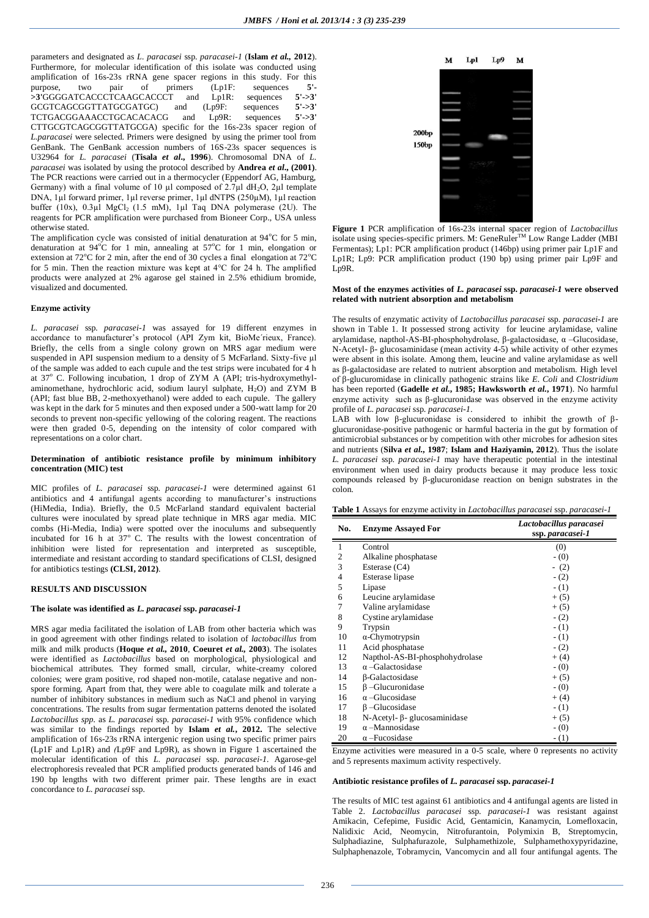parameters and designated as *L. paracasei* ssp. *paracasei-1* (**Islam** *et al.,* **2012**). Furthermore, for molecular identification of this isolate was conducted using amplification of 16s-23s rRNA gene spacer regions in this study. For this purpose, two pair of primers (Lp1F: sequences **5'- >3'**GGGGATCACCCTCAAGCACCCT and Lp1R: sequences **5'->3'**  GCGTCAGCGGTTATGCGATGC) and  $(Lp9F:$  sequences  $5'-3'$ <br>TCTGACGGAAACCTGCACACACG and  $Lp9R:$  sequences  $5'-3'$ TCTGACGGAAACCTGCACACACG and Lp9R: CTTGCGTCAGCGGTTATGCGA) specific for the 16s-23s spacer region of *L.paracasei* were selected. Primers were designed by using the primer tool from GenBank. The GenBank accession numbers of 16S-23s spacer sequences is U32964 for *L. paracasei* (**Tisala** *et al***., 1996**). Chromosomal DNA of *L. paracasei* was isolated by using the protocol described by **Andrea** *et al***., (2001)**. The PCR reactions were carried out in a thermocycler (Eppendorf AG, Hamburg, Germany) with a final volume of 10  $\mu$ l composed of 2.7 $\mu$ l dH<sub>2</sub>O, 2 $\mu$ l template DNA, 1µl forward primer, 1µl reverse primer, 1µl dNTPS (250µM), 1µl reaction buffer (10x), 0.3µl MgCl<sub>2</sub> (1.5 mM), 1µl Taq DNA polymerase (2U). The reagents for PCR amplification were purchased from Bioneer Corp., USA unless otherwise stated.

The amplification cycle was consisted of initial denaturation at  $94^{\circ}$ C for 5 min, denaturation at  $94^{\circ}$ C for 1 min, annealing at  $57^{\circ}$ C for 1 min, elongation or extension at  $72^{\circ}$ C for 2 min, after the end of 30 cycles a final elongation at  $72^{\circ}$ C for 5 min. Then the reaction mixture was kept at 4°C for 24 h. The amplified products were analyzed at 2% agarose gel stained in 2.5% ethidium bromide, visualized and documented.

#### **Enzyme activity**

*L. paracasei* ssp*. paracasei-1* was assayed for 19 different enzymes in accordance to manufacturer's protocol (API Zym kit, BioMe´rieux, France). Briefly, the cells from a single colony grown on MRS agar medium were suspended in API suspension medium to a density of 5 McFarland. Sixty-five µl of the sample was added to each cupule and the test strips were incubated for 4 h at  $37^\circ$  C. Following incubation, 1 drop of ZYM A (API; tris-hydroxymethylaminomethane, hydrochloric acid, sodium lauryl sulphate, H<sub>2</sub>O) and ZYM B (API; fast blue BB, 2-methoxyethanol) were added to each cupule. The gallery was kept in the dark for 5 minutes and then exposed under a 500-watt lamp for 20 seconds to prevent non-specific yellowing of the coloring reagent. The reactions were then graded 0-5, depending on the intensity of color compared with representations on a color chart.

### **Determination of antibiotic resistance profile by minimum inhibitory concentration (MIC) test**

MIC profiles of *L. paracasei* ssp*. paracasei-1* were determined against 61 antibiotics and 4 antifungal agents according to manufacturer's instructions (HiMedia, India). Briefly, the 0.5 McFarland standard equivalent bacterial cultures were inoculated by spread plate technique in MRS agar media. MIC combs (Hi-Media, India) were spotted over the inoculums and subsequently incubated for 16 h at  $37^{\circ}$  C. The results with the lowest concentration of inhibition were listed for representation and interpreted as susceptible, intermediate and resistant according to standard specifications of CLSI, designed for antibiotics testings **(CLSI, 2012)**.

# **RESULTS AND DISCUSSION**

## **The isolate was identified as** *L. paracasei* **ssp.** *paracasei-1*

MRS agar media facilitated the isolation of LAB from other bacteria which was in good agreement with other findings related to isolation of *lactobacillus* from milk and milk products (**Hoque** *et al.,* **2010**, **Coeuret** *et al.,* **2003**). The isolates were identified as *Lactobacillus* based on morphological, physiological and biochemical attributes. They formed small, circular, white-creamy colored colonies; were gram positive, rod shaped non-motile, catalase negative and nonspore forming. Apart from that, they were able to coagulate milk and tolerate a number of inhibitory substances in medium such as NaCl and phenol in varying concentrations. The results from sugar fermentation patterns denoted the isolated *Lactobacillus spp.* as *L. paracasei* ssp. *paracasei-1* with 95% confidence which was similar to the findings reported by **Islam** *et al.***, 2012.** The selective amplification of 16s-23s rRNA intergenic region using two specific primer pairs (Lp1F and Lp1R) and *(*Lp9F and Lp9R), as shown in Figure 1 ascertained the molecular identification of this *L. paracasei* ssp. *paracasei-1.* Agarose-gel electrophoresis revealed that PCR amplified products generated bands of 146 and 190 bp lengths with two different primer pair. These lengths are in exact concordance to *L. paracasei* ssp.



**Figure 1** PCR amplification of 16s-23s internal spacer region of *Lactobacillus* isolate using species-specific primers. M: GeneRuler<sup>TM</sup> Low Range Ladder (MBI) Fermentas); Lp1: PCR amplification product (146bp) using primer pair Lp1F and Lp1R; Lp9: PCR amplification product (190 bp) using primer pair Lp9F and Lp9R.

### **Most of the enzymes activities of** *L. paracasei* **ssp.** *paracasei-1* **were observed related with nutrient absorption and metabolism**

The results of enzymatic activity of *Lactobacillus paracasei* ssp. *paracasei-1* are shown in Table 1. It possessed strong activity for leucine arylamidase, valine arylamidase, napthol-AS-BI-phosphohydrolase, β-galactosidase, α –Glucosidase, N-Acetyl- β- glucosaminidase (mean activity 4-5) while activity of other ezymes were absent in this isolate. Among them, leucine and valine arylamidase as well as β-galactosidase are related to nutrient absorption and metabolism. High level of β-glucuromidase in clinically pathogenic strains like *E. Coli* and *Clostridium*  has been reported (**Gadelle** *et al.***, 1985; Hawksworth** *et al.***, 1971**). No harmful enzyme activity such as  $\beta$ -glucuronidase was observed in the enzyme activity profile of *L. paracasei* ssp. *paracasei-1*.

LAB with low β-glucuronidase is considered to inhibit the growth of  $β$ glucuronidase-positive pathogenic or harmful bacteria in the gut by formation of antimicrobial substances or by competition with other microbes for adhesion sites and nutrients (**Silva** *et al.***, 1987**; **Islam and Haziyamin, 2012**). Thus the isolate *L. paracasei* ssp. *paracasei-1* may have therapeutic potential in the intestinal environment when used in dairy products because it may produce less toxic compounds released by β-glucuronidase reaction on benign substrates in the colon.

**Table 1** Assays for enzyme activity in *Lactobacillus paracasei* ssp. *paracasei-1*

| No.            | <b>Enzyme Assayed For</b>      | Lactobacillus paracasei<br>ssp. paracasei-1 |
|----------------|--------------------------------|---------------------------------------------|
| 1              | Control                        | (0)                                         |
| $\overline{2}$ | Alkaline phosphatase           | $-$ (0)                                     |
| 3              | Esterase $(C4)$                | $- (2)$                                     |
| $\overline{4}$ | Esterase lipase                | $- (2)$                                     |
| 5              | Lipase                         | $- (1)$                                     |
| 6              | Leucine arylamidase            | $+(5)$                                      |
| 7              | Valine arylamidase             | $+(5)$                                      |
| 8              | Cystine arylamidase            | $- (2)$                                     |
| 9              | Trypsin                        | $- (1)$                                     |
| 10             | $\alpha$ -Chymotrypsin         | $- (1)$                                     |
| 11             | Acid phosphatase               | $- (2)$                                     |
| 12             | Napthol-AS-BI-phosphohydrolase | $+(4)$                                      |
| 13             | $\alpha$ -Galactosidase        | $-$ (0)                                     |
| 14             | β-Galactosidase                | $+(5)$                                      |
| 15             | $\beta$ -Glucuronidase         | $-$ (0)                                     |
| 16             | $\alpha$ -Glucosidase          | $+(4)$                                      |
| 17             | $\beta$ -Glucosidase           | $- (1)$                                     |
| 18             | N-Acetyl-β- glucosaminidase    | $+(5)$                                      |
| 19             | $\alpha$ –Mannosidase          | $-$ (0)                                     |
| 20             | $\alpha$ -Fucosidase           | $- (1)$                                     |

Enzyme activities were measured in a 0-5 scale, where 0 represents no activity and 5 represents maximum activity respectively.

### **Antibiotic resistance profiles of** *L. paracasei* **ssp.** *paracasei-1*

The results of MIC test against 61 antibiotics and 4 antifungal agents are listed in Table 2. *Lactobacillus paracasei* ssp. *paracasei-1* was resistant against Amikacin, Cefepime, Fusidic Acid, Gentamicin, Kanamycin, Lomefloxacin, Nalidixic Acid, Neomycin, Nitrofurantoin, Polymixin B, Streptomycin, Sulphadiazine, Sulphafurazole, Sulphamethizole, Sulphamethoxypyridazine, Sulphaphenazole, Tobramycin, Vancomycin and all four antifungal agents. The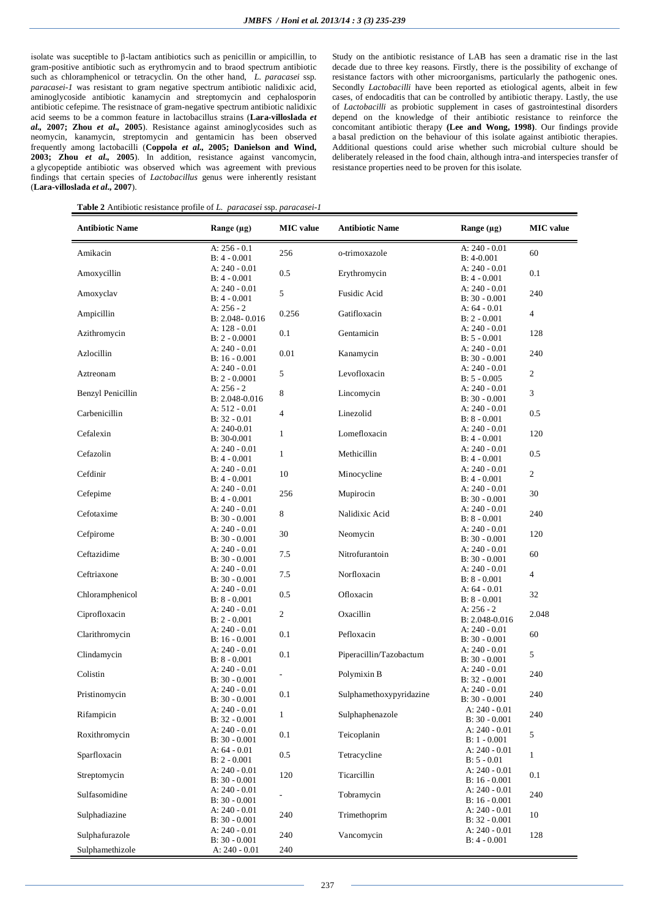isolate was suceptible to β-lactam antibiotics such as penicillin or ampicillin, to gram-positive antibiotic such as erythromycin and to braod spectrum antibiotic such as chloramphenicol or tetracyclin. On the other hand, *L. paracasei* ssp. *paracasei-1* was resistant to gram negative spectrum antibiotic nalidixic acid, aminoglycoside antibiotic kanamycin and streptomycin and cephalosporin antibiotic cefepime. The resistnace of gram-negative spectrum antibiotic nalidixic acid seems to be a common feature in lactobacillus strains (**Lara-villoslada** *et al.,* **2007; Zhou** *et al.,* **2005**). Resistance against aminoglycosides such as neomycin, kanamycin, streptomycin and gentamicin has been observed frequently among lactobacilli (**Coppola** *et al.,* **2005; Danielson and Wind, 2003; Zhou** *et al.,* **2005**). In addition, resistance against vancomycin, a glycopeptide antibiotic was observed which was agreement with previous findings that certain species of *Lactobacillus* genus were inherently resistant (**Lara-villoslada** *et al.,* **2007**).

Study on the antibiotic resistance of LAB has seen a dramatic rise in the last decade due to three key reasons. Firstly, there is the possibility of exchange of resistance factors with other microorganisms, particularly the pathogenic ones. Secondly *Lactobacilli* have been reported as etiological agents, albeit in few cases, of endocaditis that can be controlled by antibiotic therapy. Lastly, the use of *Lactobacilli* as probiotic supplement in cases of gastrointestinal disorders depend on the knowledge of their antibiotic resistance to reinforce the concomitant antibiotic therapy **(Lee and Wong, 1998)**. Our findings provide a basal prediction on the behaviour of this isolate against antibiotic therapies. Additional questions could arise whether such microbial culture should be deliberately released in the food chain, although intra-and interspecies transfer of resistance properties need to be proven for this isolate.

**Table 2** Antibiotic resistance profile of *L. paracasei* ssp. *paracasei-1*

| <b>Antibiotic Name</b>   | Range $(\mu g)$                         | <b>MIC</b> value | <b>Antibiotic Name</b>           | Range $(\mu g)$                    | <b>MIC</b> value |
|--------------------------|-----------------------------------------|------------------|----------------------------------|------------------------------------|------------------|
| Amikacin                 | A: $256 - 0.1$                          | 256              | o-trimoxazole                    | A: 240 - 0.01                      | 60               |
|                          | $B: 4 - 0.001$<br>A: 240 - 0.01         |                  |                                  | $B: 4-0.001$<br>A: $240 - 0.01$    |                  |
| Amoxycillin              | $B: 4 - 0.001$                          | 0.5              | Erythromycin                     | $B: 4 - 0.001$                     | 0.1              |
|                          | A: 240 - 0.01                           |                  |                                  | A: 240 - 0.01                      |                  |
| Amoxyclav                | $B: 4 - 0.001$                          | 5                | Fusidic Acid                     | $B: 30 - 0.001$                    | 240              |
| Ampicillin               | A: $256 - 2$                            | 0.256            | Gatifloxacin                     | A: $64 - 0.01$                     | 4                |
|                          | $B: 2.048 - 0.016$<br>A: $128 - 0.01$   |                  |                                  | $B: 2 - 0.001$<br>A: $240 - 0.01$  |                  |
| Azithromycin             | $B: 2 - 0.0001$                         | 0.1              | Gentamicin                       | $B: 5 - 0.001$                     | 128              |
| Azlocillin               | A: 240 - 0.01                           | 0.01             | Kanamycin                        | A: $240 - 0.01$                    | 240              |
|                          | $B: 16 - 0.001$                         |                  |                                  | $B: 30 - 0.001$                    |                  |
| Aztreonam                | A: 240 - 0.01                           | 5                | Levofloxacin                     | A: $240 - 0.01$                    | $\overline{c}$   |
|                          | $B: 2 - 0.0001$<br>A: $256 - 2$         |                  |                                  | $B: 5 - 0.005$<br>A: $240 - 0.01$  |                  |
| <b>Benzyl Penicillin</b> | $B: 2.048 - 0.016$                      | 8                | Lincomycin                       | $B: 30 - 0.001$                    | 3                |
|                          | A: 512 - 0.01                           | $\overline{4}$   |                                  | A: $240 - 0.01$                    |                  |
| Carbenicillin            | $B: 32 - 0.01$                          |                  | Linezolid                        | $B: 8 - 0.001$                     | 0.5              |
| Cefalexin                | A: $240-0.01$                           | $\mathbf{1}$     | Lomefloxacin                     | A: $240 - 0.01$                    | 120              |
|                          | $B: 30-0.001$<br>A: 240 - 0.01          |                  |                                  | $B: 4 - 0.001$<br>A: $240 - 0.01$  |                  |
| Cefazolin                | $B: 4 - 0.001$                          | $\mathbf{1}$     | Methicillin                      | $B: 4 - 0.001$                     | 0.5              |
|                          | A: $240 - 0.01$                         |                  |                                  | A: $240 - 0.01$                    |                  |
| Cefdinir                 | $B: 4 - 0.001$                          | 10               | Minocycline                      | $B: 4 - 0.001$                     | $\overline{c}$   |
| Cefepime                 | A: 240 - 0.01                           | 256              | Mupirocin                        | A: 240 - 0.01                      | 30               |
|                          | $B: 4 - 0.001$                          |                  |                                  | $B: 30 - 0.001$                    |                  |
| Cefotaxime               | A: 240 - 0.01<br>$B: 30 - 0.001$        | 8                | Nalidixic Acid                   | A: 240 - 0.01<br>$B: 8 - 0.001$    | 240              |
|                          | A: $240 - 0.01$                         |                  |                                  | A: $240 - 0.01$                    |                  |
| Cefpirome                | $B: 30 - 0.001$                         | 30               | Neomycin                         | $B: 30 - 0.001$                    | 120              |
| Ceftazidime              | A: 240 - 0.01                           | 7.5              | Nitrofurantoin                   | A: 240 - 0.01                      | 60               |
|                          | $B: 30 - 0.001$                         |                  |                                  | $B: 30 - 0.001$                    |                  |
| Ceftriaxone              | A: $240 - 0.01$<br>$B: 30 - 0.001$      | 7.5              | Norfloxacin                      | A: 240 - 0.01<br>$B: 8 - 0.001$    | 4                |
|                          | A: $240 - 0.01$                         |                  |                                  | A: $64 - 0.01$                     |                  |
| Chloramphenicol          | $B: 8 - 0.001$                          | 0.5              | Ofloxacin                        | $B: 8 - 0.001$                     | 32               |
| Ciprofloxacin            | A: $240 - 0.01$                         | $\overline{c}$   | Oxacillin                        | A: $256 - 2$                       | 2.048            |
|                          | $B: 2 - 0.001$                          |                  |                                  | B: 2.048-0.016                     |                  |
| Clarithromycin           | A: $240 - 0.01$<br>$B: 16 - 0.001$      | 0.1              | Pefloxacin                       | A: $240 - 0.01$<br>$B: 30 - 0.001$ | 60               |
|                          | A: 240 - 0.01                           |                  |                                  | A: $240 - 0.01$                    |                  |
| Clindamycin              | $B: 8 - 0.001$                          | 0.1              | Piperacillin/Tazobactum          | $B: 30 - 0.001$                    | 5                |
| Colistin                 | A: $240 - 0.01$                         |                  | Polymixin B                      | A: $240 - 0.01$                    | 240              |
|                          | $B: 30 - 0.001$                         |                  |                                  | $B: 32 - 0.001$                    |                  |
| Pristinomycin            | A: 240 - 0.01<br>$B: 30 - 0.001$        | 0.1              | Sulphamethoxypyridazine          | A: $240 - 0.01$<br>$B: 30 - 0.001$ | 240              |
|                          | A: 240 - 0.01                           |                  |                                  | A: 240 - 0.01                      |                  |
| Rifampicin               | $B: 32 - 0.001$                         | 1                | Sulphaphenazole                  | $B: 30 - 0.001$                    | 240              |
| Roxithromycin            | A: 240 - 0.01<br>0.1                    | Teicoplanin      | A: 240 - 0.01                    | 5                                  |                  |
|                          | $B: 30 - 0.001$<br>A: 64 - 0.01         |                  |                                  | $B: 1 - 0.001$<br>A: $240 - 0.01$  |                  |
| Sparfloxacin             | $B: 2 - 0.001$                          | $0.5\,$          | Tetracycline                     | $B: 5 - 0.01$                      | 1                |
|                          | A: 240 - 0.01                           |                  |                                  | A: 240 - 0.01                      |                  |
| Streptomycin             | $B: 30 - 0.001$                         | 120              | Ticarcillin                      | $B: 16 - 0.001$                    | 0.1              |
| Sulfasomidine            | A: 240 - 0.01                           |                  | Tobramycin                       | A: 240 - 0.01                      | 240              |
|                          | $B: 30 - 0.001$                         |                  |                                  | $B: 16 - 0.001$                    |                  |
| Sulphadiazine            | A: 240 - 0.01<br>240<br>$B: 30 - 0.001$ | Trimethoprim     | A: 240 - 0.01<br>$B: 32 - 0.001$ | 10                                 |                  |
|                          | A: 240 - 0.01                           |                  |                                  | A: 240 - 0.01                      |                  |
| Sulphafurazole           | $B: 30 - 0.001$                         | 240              | Vancomycin                       | $B: 4 - 0.001$                     | 128              |
| Sulphamethizole          | $A: 240 - 0.01$                         | 240              |                                  |                                    |                  |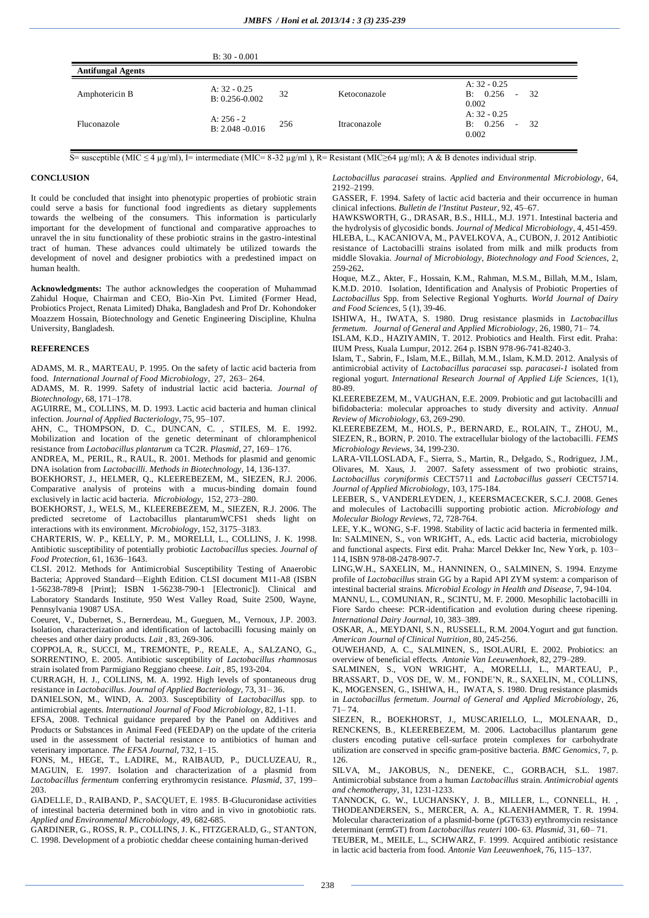|                          | $B: 30 - 0.001$                      |     |              |                                            |  |  |
|--------------------------|--------------------------------------|-----|--------------|--------------------------------------------|--|--|
| <b>Antifungal Agents</b> |                                      |     |              |                                            |  |  |
| Amphotericin B           | A: $32 - 0.25$<br>$B: 0.256 - 0.002$ | 32  | Ketoconazole | A: $32 - 0.25$<br>B: 0.256<br>32<br>0.002  |  |  |
| Fluconazole              | A: $256 - 2$<br>$B: 2.048 - 0.016$   | 256 | Itraconazole | A: $32 - 0.25$<br>B: 0.256<br>-32<br>0.002 |  |  |

S= susceptible (MIC ≤ 4 µg/ml), I= intermediate (MIC= 8-32 µg/ml ), R= Resistant (MIC≥64 µg/ml); A & B denotes individual strip.

### **CONCLUSION**

It could be concluded that insight into phenotypic properties of probiotic strain could serve a basis for functional food ingredients as dietary supplements towards the welbeing of the consumers. This information is particularly important for the development of functional and comparative approaches to unravel the in situ functionality of these probiotic strains in the gastro-intestinal tract of human. These advances could ultimately be utilized towards the development of novel and designer probiotics with a predestined impact on human health.

**Acknowledgments:** The author acknowledges the cooperation of Muhammad Zahidul Hoque, Chairman and CEO, Bio-Xin Pvt. Limited (Former Head, Probiotics Project, Renata Limited) Dhaka, Bangladesh and Prof Dr. Kohondoker Moazzem Hossain, Biotechnology and Genetic Engineering Discipline, Khulna University, Bangladesh.

#### **REFERENCES**

ADAMS, M. R., MARTEAU, P. 1995. On the safety of lactic acid bacteria from food. *International Journal of Food Microbiology*, 27, 263– 264.

ADAMS, M. R. 1999. Safety of industrial lactic acid bacteria. *Journal of Biotechnology*, 68, 171–178.

AGUIRRE, M., COLLINS, M. D. 1993. Lactic acid bacteria and human clinical infection. *Journal of Applied Bacteriology*, 75, 95–107.

AHN, C., THOMPSON, D. C., DUNCAN, C. , STILES, M. E. 1992. Mobilization and location of the genetic determinant of chloramphenicol resistance from *Lactobacillus plantarum* ca TC2R. *Plasmid*, 27, 169– 176.

ANDREA, M., PERIL, R., RAUL, R. 2001. Methods for plasmid and genomic DNA isolation from *Lactobacilli*. *Methods in Biotechnology*, 14, 136-137.

BOEKHORST, J., HELMER, Q., KLEEREBEZEM, M., SIEZEN, R.J. 2006. Comparative analysis of proteins with a mucus-binding domain found exclusively in lactic acid bacteria. *Microbiology*, 152, 273–280.

BOEKHORST, J., WELS, M., KLEEREBEZEM, M., SIEZEN, R.J. 2006. The predicted secretome of Lactobacillus plantarumWCFS1 sheds light on interactions with its environment. *Microbiology*, 152, 3175–3183.

CHARTERIS, W. P., KELLY, P. M., MORELLI, L., COLLINS, J. K. 1998. Antibiotic susceptibility of potentially probiotic *Lactobacillus* species. *Journal of Food Protection*, 61, 1636–1643.

CLSI. 2012. Methods for Antimicrobial Susceptibility Testing of Anaerobic Bacteria; Approved Standard—Eighth Edition. CLSI document M11-A8 (ISBN 1-56238-789-8 [Print]; ISBN 1-56238-790-1 [Electronic]). Clinical and Laboratory Standards Institute, 950 West Valley Road, Suite 2500, Wayne, Pennsylvania 19087 USA.

Coeuret, V., Dubernet, S., Bernerdeau, M., Gueguen, M., Vernoux, J.P. 2003. Isolation, characterization and identification of lactobacilli focusing mainly on cheeses and other dairy products. *Lait* , 83, 269-306.

COPPOLA, R., SUCCI, M., TREMONTE, P., REALE, A., SALZANO, G., SORRENTINO, E. 2005. Antibiotic susceptibility of *Lactobacillus rhamnosus* strain isolated from Parmigiano Reggiano cheese. *Lait* , 85, 193-204.

CURRAGH, H. J., COLLINS, M. A. 1992. High levels of spontaneous drug resistance in *Lactobacillus*. *Journal of Applied Bacteriology*, 73, 31– 36.

DANIELSON, M., WIND, A. 2003. Susceptibility of *Lactobacillus* spp. to antimicrobial agents. *International Journal of Food Microbiology*, 82, 1-11.

EFSA, 2008. Technical guidance prepared by the Panel on Additives and Products or Substances in Animal Feed (FEEDAP) on the update of the criteria used in the assessment of bacterial resistance to antibiotics of human and veterinary importance. *The EFSA Journal*, 732, 1–15.

FONS, M., HEGE, T., LADIRE, M., RAIBAUD, P., DUCLUZEAU, R., MAGUIN, E. 1997. Isolation and characterization of a plasmid from *Lactobacillus fermentum* conferring erythromycin resistance. *Plasmid*, 37, 199– 203.

GADELLE, D., RAIBAND, P., SACQUET, E. 1985. Β-Glucuronidase activities of intestinal bacteria determined both in vitro and in vivo in gnotobiotic rats. *Applied and Environmental Microbiology,* 49, 682-685.

GARDINER, G., ROSS, R. P., COLLINS, J. K., FITZGERALD, G., STANTON, C. 1998. Development of a probiotic cheddar cheese containing human-derived

*Lactobacillus paracasei* strains. *Applied and Environmental Microbiology*, 64, 2192–2199.

GASSER, F. 1994. Safety of lactic acid bacteria and their occurrence in human clinical infections. *Bulletin de l'Institut Pasteur*, 92, 45–67.

HAWKSWORTH, G., DRASAR, B.S., HILL, M.J. 1971. Intestinal bacteria and the hydrolysis of glycosidic bonds. *Journal of Medical Microbiology*, 4, 451-459. HLEBA, L., KACANIOVA, M., PAVELKOVA, A., CUBON, J. 2012 Antibiotic resistance of Lactobacilli strains isolated from milk and milk products from middle Slovakia. *Journal of Microbiology, Biotechnology and Food Sciences*, 2, 259-262**.** 

Hoque, M.Z., Akter, F., Hossain, K.M., Rahman, M.S.M., Billah, M.M., Islam, K.M.D. 2010. Isolation, Identification and Analysis of Probiotic Properties of *Lactobacillus* Spp. from Selective Regional Yoghurts. *World Journal of Dairy and Food Sciences*, 5 (1), 39-46.

ISHIWA, H., IWATA, S. 1980. Drug resistance plasmids in *Lactobacillus fermetum*. *Journal of General and Applied Microbiology*, 26, 1980, 71– 74.

ISLAM, K.D., HAZIYAMIN, T. 2012. Probiotics and Health. First edit. Praha: IIUM Press, Kuala Lumpur, 2012. 264 p. ISBN 978-96-741-8240-3.

Islam, T., Sabrin, F., Islam, M.E., Billah, M.M., Islam, K.M.D. 2012. Analysis of antimicrobial activity of *Lactobacillus paracasei* ssp. *paracasei-1* isolated from regional yogurt. *International Research Journal of Applied Life Sciences,* 1(1), 80-89.

KLEEREBEZEM, M., VAUGHAN, E.E. 2009. Probiotic and gut lactobacilli and bifidobacteria: molecular approaches to study diversity and activity. *Annual Review of Microbiology*, 63, 269-290.

KLEEREBEZEM, M., HOLS, P., BERNARD, E., ROLAIN, T., ZHOU, M., SIEZEN, R., BORN, P. 2010. The extracellular biology of the lactobacilli. *FEMS Microbiology Reviews,* 34, 199-230.

LARA-VILLOSLADA, F., Sierra, S., Martin, R., Delgado, S., Rodriguez, J.M., Olivares, M. Xaus, J. 2007. Safety assessment of two probiotic strains, *Lactobacillus coryniformis* CECT5711 and *Lactobacillus gasseri* CECT5714. *Journal of Applied Microbiology*, 103, 175-184.

LEEBER, S., VANDERLEYDEN, J., KEERSMACECKER, S.C.J. 2008. Genes and molecules of Lactobacilli supporting probiotic action. *Microbiology and Molecular Biology Reviews*, 72, 728-764.

LEE, Y.K., WONG, S-F. 1998. Stability of lactic acid bacteria in fermented milk. In: SALMINEN, S., von WRIGHT, A., eds. Lactic acid bacteria, microbiology and functional aspects. First edit. Praha: Marcel Dekker Inc, New York, p. 103– 114, ISBN 978-08-2478-907-7.

LING,W.H., SAXELIN, M., HANNINEN, O., SALMINEN, S. 1994. Enzyme profile of *Lactobacillus* strain GG by a Rapid API ZYM system: a comparison of intestinal bacterial strains. *Microbial Ecology in Health and Disease*, 7, 94-104.

MANNU, L., COMUNIAN, R., SCINTU, M. F. 2000. Mesophilic lactobacilli in Fiore Sardo cheese: PCR-identification and evolution during cheese ripening. *International Dairy Journal*, 10, 383–389.

OSKAR, A., MEYDANI, S.N., RUSSELL, R.M. 2004.Yogurt and gut function. *American Journal of Clinical Nutrition*, 80, 245-256.

OUWEHAND, A. C., SALMINEN, S., ISOLAURI, E. 2002. Probiotics: an overview of beneficial effects. *Antonie Van Leeuwenhoek*, 82, 279–289.

SALMINEN, S., VON WRIGHT, A., MORELLI, L., MARTEAU, P., BRASSART, D., VOS DE, W. M., FONDE'N, R., SAXELIN, M., COLLINS, K., MOGENSEN, G., ISHIWA, H., IWATA, S. 1980. Drug resistance plasmids in *Lactobacillus fermetum*. *Journal of General and Applied Microbiology*, 26, 71– 74.

SIEZEN, R., BOEKHORST, J., MUSCARIELLO, L., MOLENAAR, D., RENCKENS, B., KLEEREBEZEM, M. 2006. Lactobacillus plantarum gene clusters encoding putative cell-surface protein complexes for carbohydrate utilization are conserved in specific gram-positive bacteria. *BMC Genomics*, 7, p. 126.

SILVA, M., JAKOBUS, N., DENEKE, C., GORBACH, S.L. 1987. Antimicrobial substance from a human *Lactobacillus* strain. *Antimicrobial agents and chemotherapy*, 31, 1231-1233.

TANNOCK, G. W., LUCHANSKY, J. B., MILLER, L., CONNELL, H. , THODEANDERSEN, S., MERCER, A. A., KLAENHAMMER, T. R. 1994. Molecular characterization of a plasmid-borne (pGT633) erythromycin resistance determinant (ermGT) from *Lactobacillus reuteri* 100- 63. *Plasmid*, 31, 60– 71. TEUBER, M., MEILE, L., SCHWARZ, F. 1999. Acquired antibiotic resistance

in lactic acid bacteria from food. *Antonie Van Leeuwenhoek*, 76, 115–137.